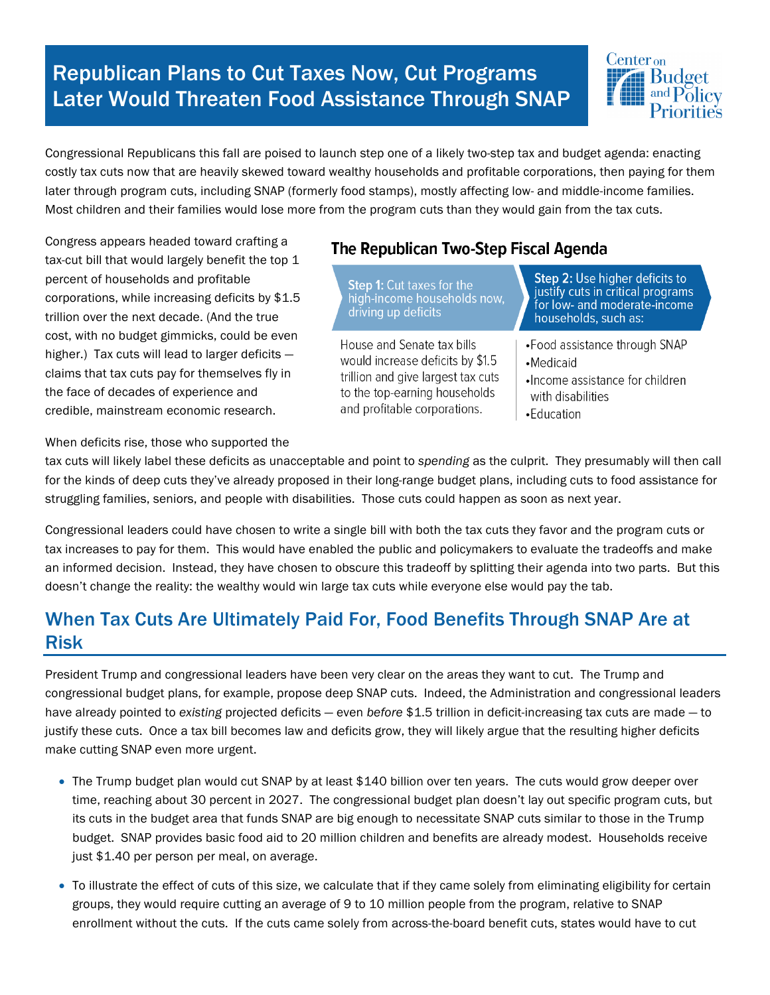# Republican Plans to Cut Taxes Now, Cut Programs Later Would Threaten Food Assistance Through SNAP



Congressional Republicans this fall are poised to launch step one of a likely two-step tax and budget agenda: enacting costly tax cuts now that are heavily skewed toward wealthy households and profitable corporations, then paying for them later through program cuts, including SNAP (formerly food stamps), mostly affecting low- and middle-income families. Most children and their families would lose more from the program cuts than they would gain from the tax cuts.

Congress appears headed toward crafting a tax-cut bill that would largely benefit the top 1 percent of households and profitable corporations, while increasing deficits by \$1.5 trillion over the next decade. (And the true cost, with no budget gimmicks, could be even higher.) Tax cuts will lead to larger deficits claims that tax cuts pay for themselves fly in the face of decades of experience and credible, mainstream economic research.

#### When deficits rise, those who supported the

#### The Republican Two-Step Fiscal Agenda

Step 1: Cut taxes for the<br>high-income households now,<br>driving up deficits

House and Senate tax bills would increase deficits by \$1.5 trillion and give largest tax cuts to the top-earning households and profitable corporations.

Step 2: Use higher deficits to justify cuts in critical programs for low- and moderate-income households, such as:

- •Food assistance through SNAP
- ·Medicaid
- ·Income assistance for children with disabilities
- •Education

tax cuts will likely label these deficits as unacceptable and point to *spending* as the culprit. They presumably will then call for the kinds of deep cuts they've already proposed in their long-range budget plans, including cuts to food assistance for struggling families, seniors, and people with disabilities. Those cuts could happen as soon as next year.

Congressional leaders could have chosen to write a single bill with both the tax cuts they favor and the program cuts or tax increases to pay for them. This would have enabled the public and policymakers to evaluate the tradeoffs and make an informed decision. Instead, they have chosen to obscure this tradeoff by splitting their agenda into two parts. But this doesn't change the reality: the wealthy would win large tax cuts while everyone else would pay the tab.

### When Tax Cuts Are Ultimately Paid For, Food Benefits Through SNAP Are at Risk

President Trump and congressional leaders have been very clear on the areas they want to cut. The Trump and congressional budget plans, for example, propose deep SNAP cuts. Indeed, the Administration and congressional leaders have already pointed to *existing* projected deficits — even *before* \$1.5 trillion in deficit-increasing tax cuts are made — to justify these cuts. Once a tax bill becomes law and deficits grow, they will likely argue that the resulting higher deficits make cutting SNAP even more urgent.

- The Trump budget plan would cut SNAP by at least \$140 billion over ten years. The cuts would grow deeper over time, reaching about 30 percent in 2027. The congressional budget plan doesn't lay out specific program cuts, but its cuts in the budget area that funds SNAP are big enough to necessitate SNAP cuts similar to those in the Trump budget. SNAP provides basic food aid to 20 million children and benefits are already modest. Households receive just \$1.40 per person per meal, on average.
- To illustrate the effect of cuts of this size, we [calculate](https://www.cbpp.org/research/food-assistance/house-2017-budget-plan-would-slash-snap-by-more-than-150-billion-over-ten) that if they came solely from eliminating eligibility for certain groups, they would require cutting an average of 9 to 10 million people from the program, relative to SNAP enrollment without the cuts. If the cuts came solely from across-the-board benefit cuts, states would have to cut